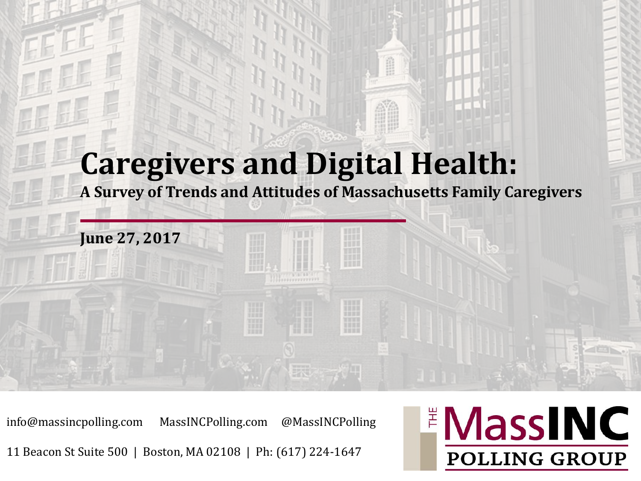#### **Caregivers and Digital Health:**

**A Survey of Trends and Attitudes of Massachusetts Family Caregivers**

m

mm

info@massincpolling.com MassINCPolling.com @MassINCPolling

**June 27, 2017**

11 Beacon St Suite 500 | Boston, MA 02108 | Ph: (617) 224-1647

#### **EMassINC POLLING GROUP**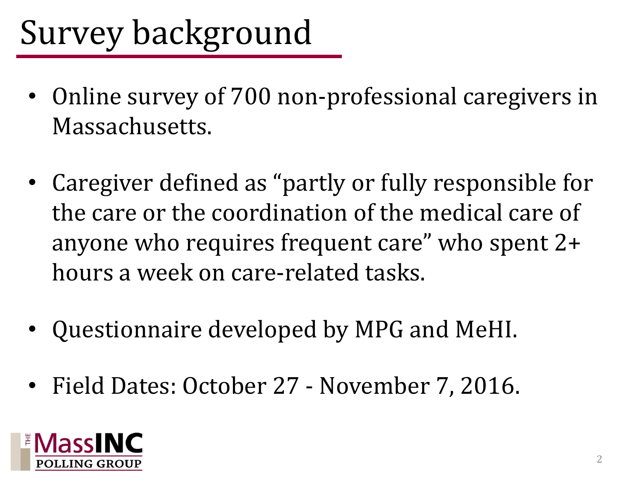# Survey background

- Online survey of 700 non-professional caregivers in Massachusetts.
- Caregiver defined as "partly or fully responsible for the care or the coordination of the medical care of anyone who requires frequent care" who spent 2+ hours a week on care-related tasks.
- Questionnaire developed by MPG and MeHI.
- Field Dates: October 27 November 7, 2016.

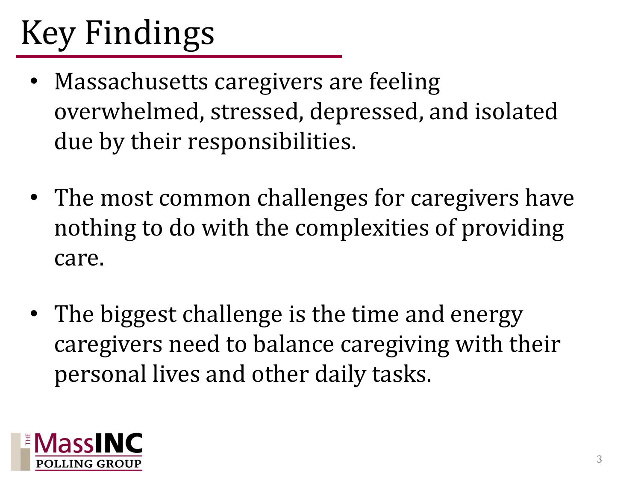# Key Findings

- Massachusetts caregivers are feeling overwhelmed, stressed, depressed, and isolated due by their responsibilities.
- The most common challenges for caregivers have nothing to do with the complexities of providing care.
- The biggest challenge is the time and energy caregivers need to balance caregiving with their personal lives and other daily tasks.

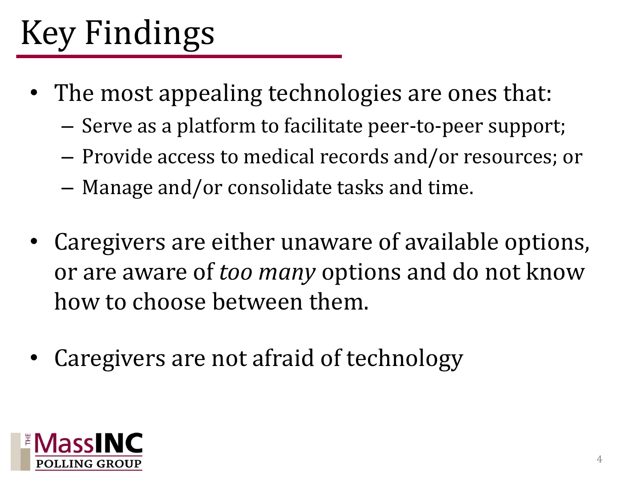# Key Findings

- The most appealing technologies are ones that:
	- Serve as a platform to facilitate peer-to-peer support;
	- Provide access to medical records and/or resources; or
	- Manage and/or consolidate tasks and time.
- Caregivers are either unaware of available options, or are aware of *too many* options and do not know how to choose between them.
- Caregivers are not afraid of technology

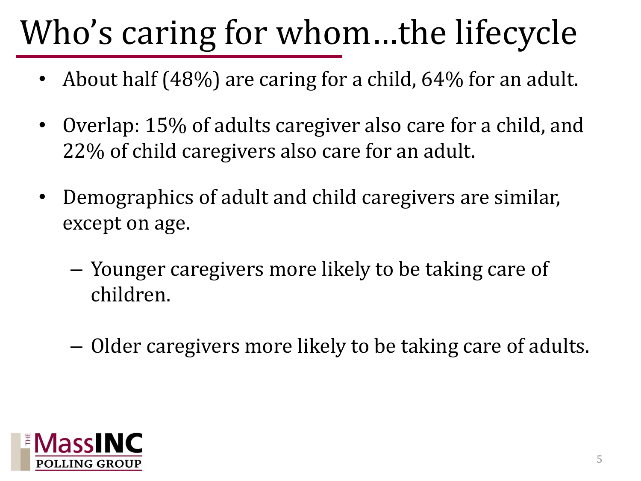# Who's caring for whom…the lifecycle

- About half (48%) are caring for a child, 64% for an adult.
- Overlap: 15% of adults caregiver also care for a child, and 22% of child caregivers also care for an adult.
- Demographics of adult and child caregivers are similar, except on age.
	- Younger caregivers more likely to be taking care of children.
	- Older caregivers more likely to be taking care of adults.

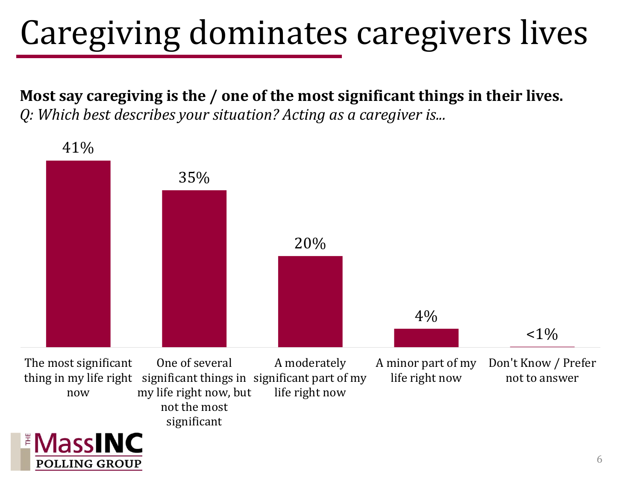# Caregiving dominates caregivers lives

**Most say caregiving is the / one of the most significant things in their lives.** *Q: Which best describes your situation? Acting as a caregiver is...*

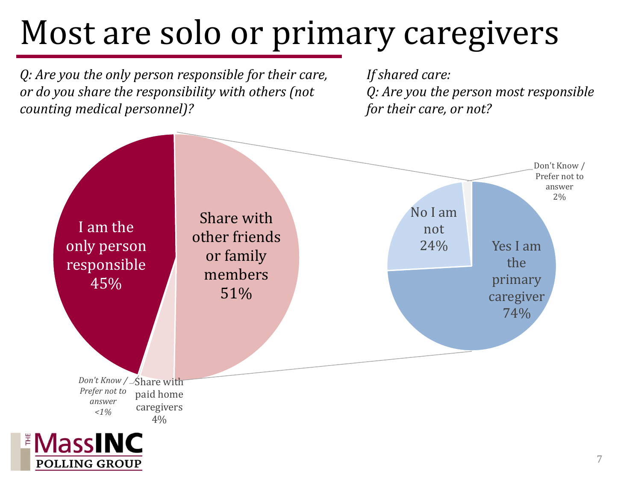## Most are solo or primary caregivers

*Q: Are you the only person responsible for their care, or do you share the responsibility with others (not counting medical personnel)?*

**POLLING GROUP** 

*If shared care: Q: Are you the person most responsible for their care, or not?*

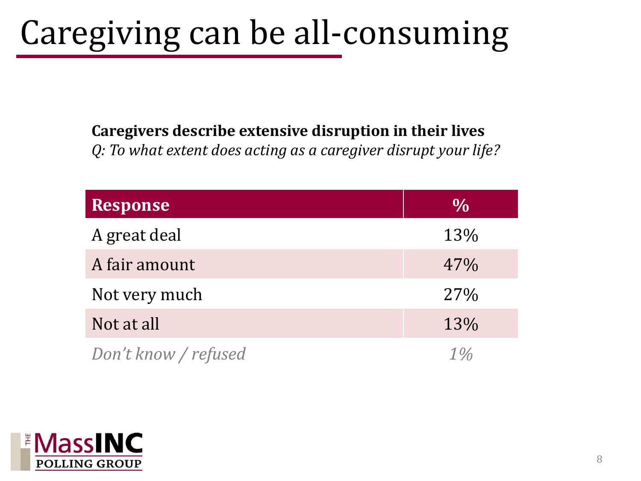## Caregiving can be all-consuming

#### **Caregivers describe extensive disruption in their lives**

*Q: To what extent does acting as a caregiver disrupt your life?*

| <b>Response</b>      | $\frac{0}{0}$ |
|----------------------|---------------|
| A great deal         | 13%           |
| A fair amount        | 47%           |
| Not very much        | 27%           |
| Not at all           | 13%           |
| Don't know / refused | $1\%$         |

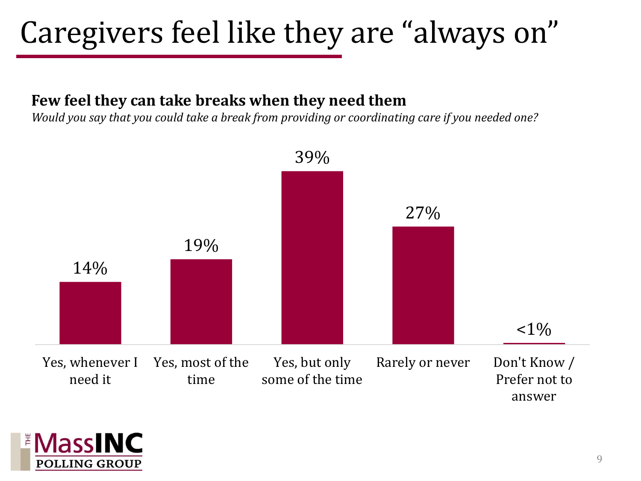#### Caregivers feel like they are "always on"

#### **Few feel they can take breaks when they need them**

*Would you say that you could take a break from providing or coordinating care if you needed one?*



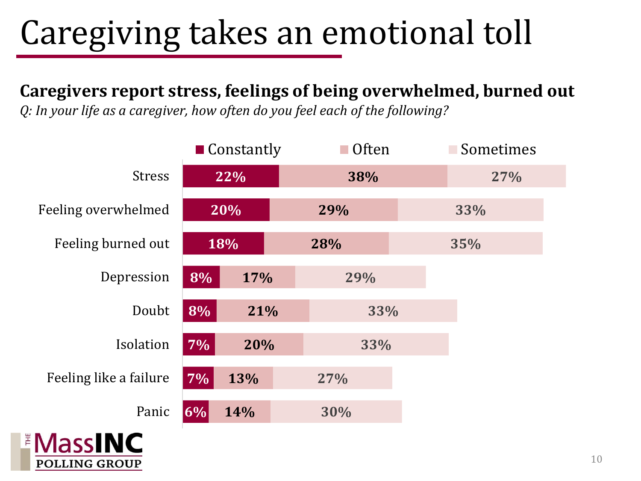# Caregiving takes an emotional toll

#### **Caregivers report stress, feelings of being overwhelmed, burned out**

*Q: In your life as a caregiver, how often do you feel each of the following?*

|                        | $\blacksquare$ Constantly |     | $\blacksquare$ Often | Sometimes |  |
|------------------------|---------------------------|-----|----------------------|-----------|--|
| <b>Stress</b>          | 22%                       |     | 38%                  | 27%       |  |
| Feeling overwhelmed    | 20%                       |     | 29%                  | 33%       |  |
| Feeling burned out     | 18%                       |     | 28%                  | 35%       |  |
| Depression             | 8%                        | 17% | 29%                  |           |  |
| Doubt                  | 8%                        | 21% | 33%                  |           |  |
| Isolation              | 7%                        | 20% | 33%                  |           |  |
| Feeling like a failure | 7%                        | 13% | 27%                  |           |  |
| Panic                  | 6%                        | 14% | 30%                  |           |  |
| <b>Maccinic</b>        |                           |     |                      |           |  |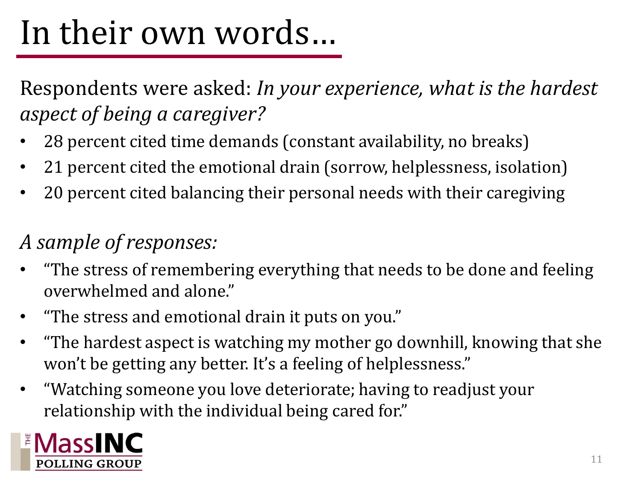## In their own words…

Respondents were asked: *In your experience, what is the hardest aspect of being a caregiver?*

- 28 percent cited time demands (constant availability, no breaks)
- 21 percent cited the emotional drain (sorrow, helplessness, isolation)
- 20 percent cited balancing their personal needs with their caregiving

#### *A sample of responses:*

- "The stress of remembering everything that needs to be done and feeling overwhelmed and alone."
- "The stress and emotional drain it puts on you."
- "The hardest aspect is watching my mother go downhill, knowing that she won't be getting any better. It's a feeling of helplessness."
- "Watching someone you love deteriorate; having to readjust your relationship with the individual being cared for."

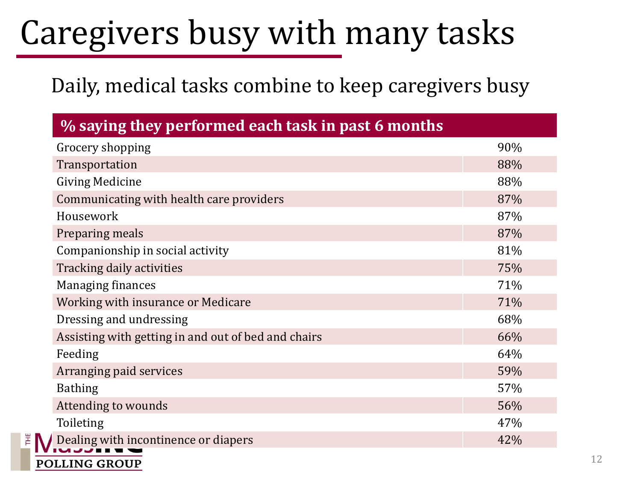## Caregivers busy with many tasks

#### Daily, medical tasks combine to keep caregivers busy

| % saying they performed each task in past 6 months  |     |
|-----------------------------------------------------|-----|
| Grocery shopping                                    | 90% |
| Transportation                                      | 88% |
| <b>Giving Medicine</b>                              | 88% |
| Communicating with health care providers            | 87% |
| Housework                                           | 87% |
| Preparing meals                                     | 87% |
| Companionship in social activity                    | 81% |
| Tracking daily activities                           | 75% |
| <b>Managing finances</b>                            | 71% |
| Working with insurance or Medicare                  | 71% |
| Dressing and undressing                             | 68% |
| Assisting with getting in and out of bed and chairs | 66% |
| Feeding                                             | 64% |
| Arranging paid services                             | 59% |
| <b>Bathing</b>                                      | 57% |
| Attending to wounds                                 | 56% |
| Toileting                                           | 47% |
| Dealing with incontinence or diapers                | 42% |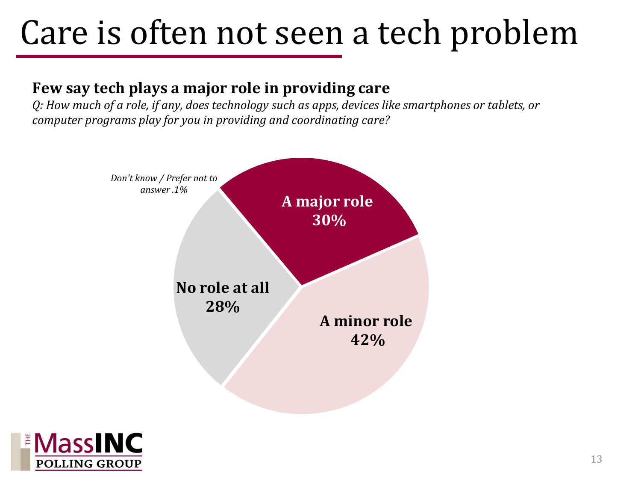### Care is often not seen a tech problem

#### **Few say tech plays a major role in providing care**

*Q: How much of a role, if any, does technology such as apps, devices like smartphones or tablets, or computer programs play for you in providing and coordinating care?*



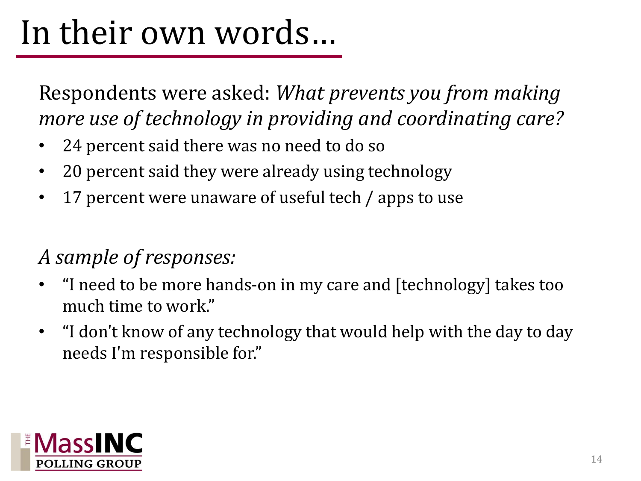## In their own words…

Respondents were asked: *What prevents you from making more use of technology in providing and coordinating care?* 

- 24 percent said there was no need to do so
- 20 percent said they were already using technology
- 17 percent were unaware of useful tech / apps to use

#### *A sample of responses:*

- "I need to be more hands-on in my care and [technology] takes too much time to work."
- "I don't know of any technology that would help with the day to day needs I'm responsible for."

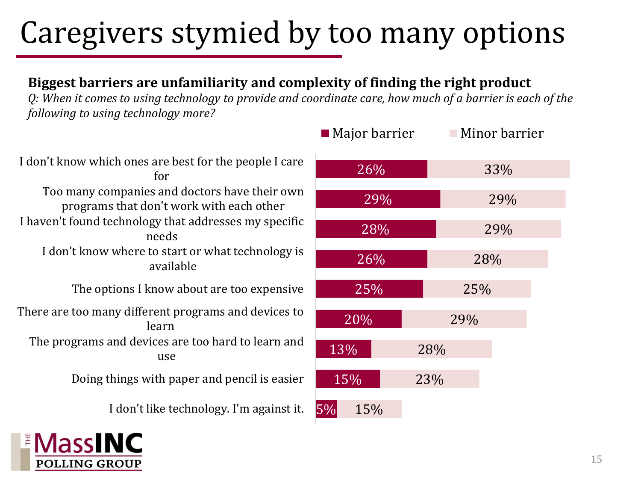#### Caregivers stymied by too many options

#### **Biggest barriers are unfamiliarity and complexity of finding the right product**

*Q: When it comes to using technology to provide and coordinate care, how much of a barrier is each of the following to using technology more?*

I don't know which ones are best for the people I care for Too many companies and doctors have their own programs that don't work with each other I haven't found technology that addresses my specific needs I don't know where to start or what technology is available The options I know about are too expensive There are too many different programs and devices to learn The programs and devices are too hard to learn and use Doing things with paper and pencil is easier

I don't like technology. I'm against it.



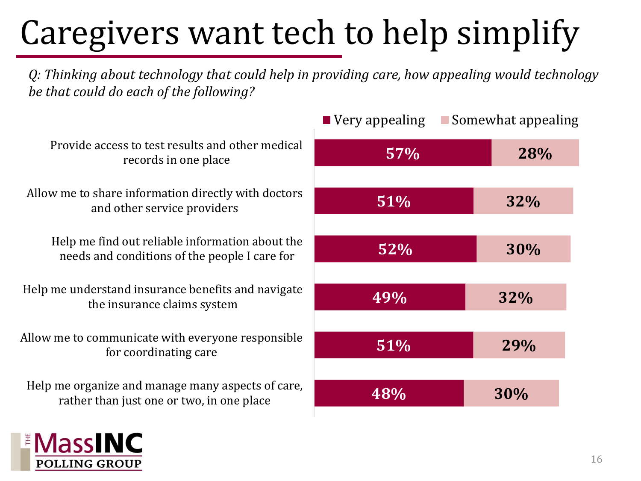# Caregivers want tech to help simplify

*Q: Thinking about technology that could help in providing care, how appealing would technology be that could do each of the following?*

|                                                                                                  | ■ ν ∈ι y αμμ |
|--------------------------------------------------------------------------------------------------|--------------|
| Provide access to test results and other medical<br>records in one place                         |              |
| Allow me to share information directly with doctors<br>and other service providers               |              |
| Help me find out reliable information about the<br>needs and conditions of the people I care for |              |
| Help me understand insurance benefits and navigate<br>the insurance claims system                |              |
| Allow me to communicate with everyone responsible<br>for coordinating care                       |              |
| Help me organize and manage many aspects of care,<br>rather than just one or two, in one place   |              |
|                                                                                                  |              |

**IASSI** 

|     | ■ Very appealing ■ Somewhat appealing |     |  |
|-----|---------------------------------------|-----|--|
| 57% |                                       | 28% |  |
|     |                                       |     |  |
| 51% |                                       | 32% |  |
|     |                                       |     |  |
| 52% |                                       | 30% |  |
|     |                                       |     |  |
| 49% |                                       | 32% |  |
|     |                                       |     |  |
| 51% |                                       | 29% |  |
|     |                                       |     |  |
| 48% |                                       | 30% |  |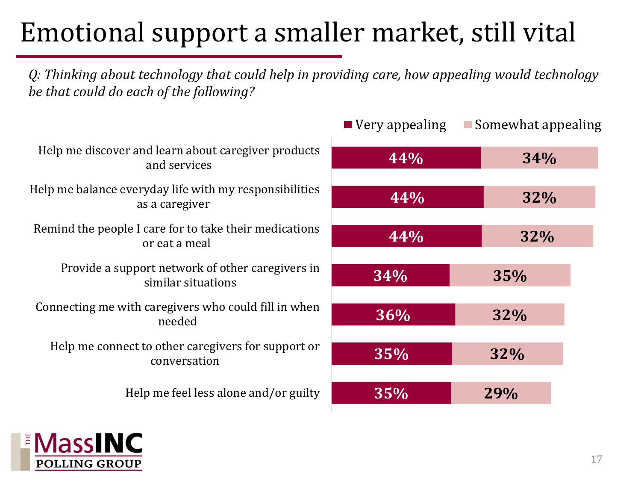#### Emotional support a smaller market, still vital

*Q: Thinking about technology that could help in providing care, how appealing would technology be that could do each of the following?*

|                                                                          | ■ ντι γ αρρταππε |
|--------------------------------------------------------------------------|------------------|
| Help me discover and learn about caregiver products<br>and services      | 44%              |
| Help me balance everyday life with my responsibilities<br>as a caregiver | 44%              |
| Remind the people I care for to take their medications<br>or eat a meal  | $4.4\%$          |
| Provide a support network of other caregivers in<br>similar situations   | 34%              |
| Connecting me with caregivers who could fill in when<br>needed           | 36%              |
| Help me connect to other caregivers for support or<br>conversation       | 35%              |
| Help me feel less alone and/or guilty                                    | 35%              |
|                                                                          |                  |



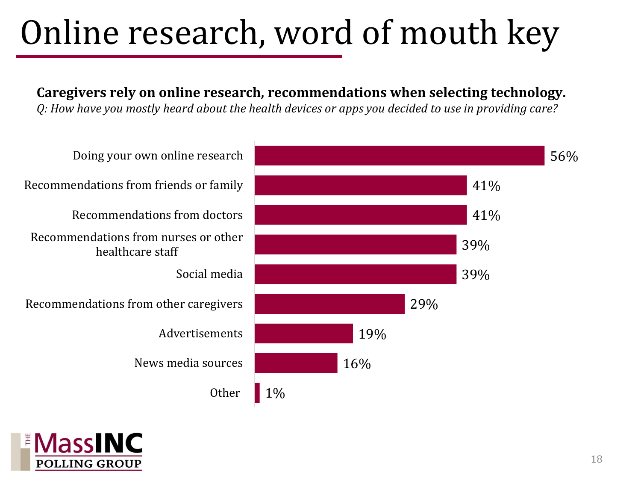## Online research, word of mouth key

**Caregivers rely on online research, recommendations when selecting technology.**

*Q: How have you mostly heard about the health devices or apps you decided to use in providing care?*